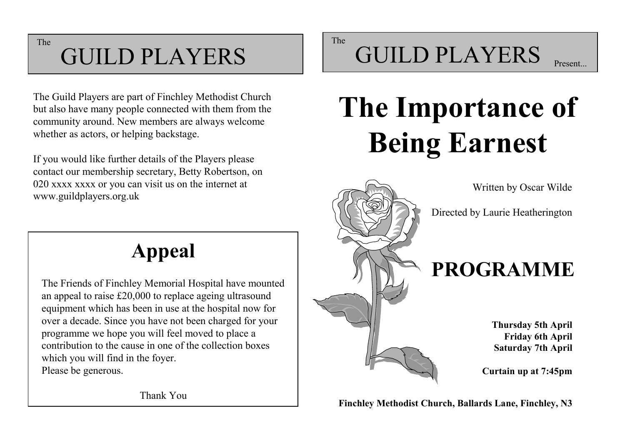The

#### GUILD PLAYERS

The Guild Players are part of Finchley Methodist Church but also have many people connected with them from the community around. New members are always welcome whether as actors, or helping backstage.

If you would like further details of the Players please contact our membership secretary, Betty Robertson, on 020 xxxx xxxx or you can visit us on the internet at www.guildplayers.org.uk

**Appeal**

The Friends of Finchley Memorial Hospital have mounted an appeal to raise £20,000 to replace ageing ultrasound equipment which has been in use at the hospital now for over a decade. Since you have not been charged for your programme we hope you will feel moved to place a contribution to the cause in one of the collection boxes which you will find in the foyer. Please be generous.

The

## GUILD PLAYERS

# **The Importance of Being Earnest**



**Thursday 5th April Friday 6th April Saturday 7th April** 

**Curtain up at 7:45pm**

**Finchley Methodist Church, Ballards Lane, Finchley, N3**

Thank You